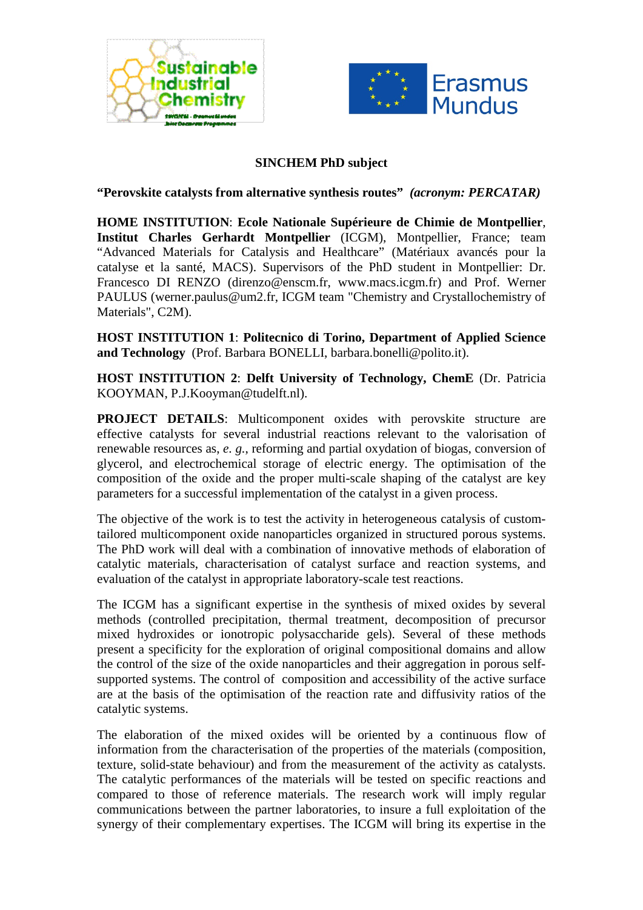



## **SINCHEM PhD subject**

**"Perovskite catalysts from alternative synthesis routes"** *(acronym: PERCATAR)*

**HOME INSTITUTION**: **Ecole Nationale Supérieure de Chimie de Montpellier**, **Institut Charles Gerhardt Montpellier** (ICGM), Montpellier, France; team "Advanced Materials for Catalysis and Healthcare" (Matériaux avancés pour la catalyse et la santé, MACS). Supervisors of the PhD student in Montpellier: Dr. Francesco DI RENZO (direnzo@enscm.fr, www.macs.icgm.fr) and Prof. Werner PAULUS (werner.paulus@um2.fr, ICGM team "Chemistry and Crystallochemistry of Materials", C2M).

**HOST INSTITUTION 1**: **Politecnico di Torino, Department of Applied Science and Technology** (Prof. Barbara BONELLI, barbara.bonelli@polito.it).

**HOST INSTITUTION 2**: **Delft University of Technology, ChemE** (Dr. Patricia KOOYMAN, P.J.Kooyman@tudelft.nl).

**PROJECT DETAILS**: Multicomponent oxides with perovskite structure are effective catalysts for several industrial reactions relevant to the valorisation of renewable resources as, *e. g.*, reforming and partial oxydation of biogas, conversion of glycerol, and electrochemical storage of electric energy. The optimisation of the composition of the oxide and the proper multi-scale shaping of the catalyst are key parameters for a successful implementation of the catalyst in a given process.

The objective of the work is to test the activity in heterogeneous catalysis of customtailored multicomponent oxide nanoparticles organized in structured porous systems. The PhD work will deal with a combination of innovative methods of elaboration of catalytic materials, characterisation of catalyst surface and reaction systems, and evaluation of the catalyst in appropriate laboratory-scale test reactions.

The ICGM has a significant expertise in the synthesis of mixed oxides by several methods (controlled precipitation, thermal treatment, decomposition of precursor mixed hydroxides or ionotropic polysaccharide gels). Several of these methods present a specificity for the exploration of original compositional domains and allow the control of the size of the oxide nanoparticles and their aggregation in porous selfsupported systems. The control of composition and accessibility of the active surface are at the basis of the optimisation of the reaction rate and diffusivity ratios of the catalytic systems.

The elaboration of the mixed oxides will be oriented by a continuous flow of information from the characterisation of the properties of the materials (composition, texture, solid-state behaviour) and from the measurement of the activity as catalysts. The catalytic performances of the materials will be tested on specific reactions and compared to those of reference materials. The research work will imply regular communications between the partner laboratories, to insure a full exploitation of the synergy of their complementary expertises. The ICGM will bring its expertise in the